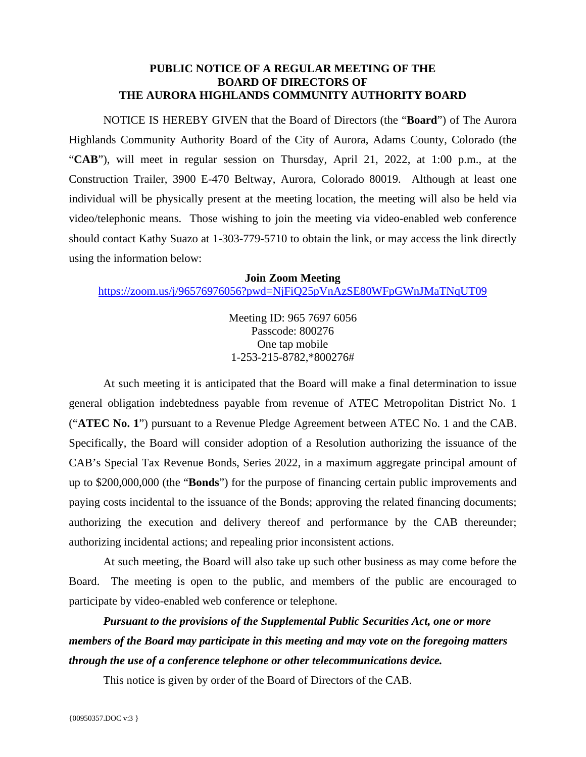## **PUBLIC NOTICE OF A REGULAR MEETING OF THE BOARD OF DIRECTORS OF THE AURORA HIGHLANDS COMMUNITY AUTHORITY BOARD**

NOTICE IS HEREBY GIVEN that the Board of Directors (the "**Board**") of The Aurora Highlands Community Authority Board of the City of Aurora, Adams County, Colorado (the "**CAB**"), will meet in regular session on Thursday, April 21, 2022, at 1:00 p.m., at the Construction Trailer, 3900 E-470 Beltway, Aurora, Colorado 80019. Although at least one individual will be physically present at the meeting location, the meeting will also be held via video/telephonic means. Those wishing to join the meeting via video-enabled web conference should contact Kathy Suazo at 1-303-779-5710 to obtain the link, or may access the link directly using the information below:

## **Join Zoom Meeting**

<https://zoom.us/j/96576976056?pwd=NjFiQ25pVnAzSE80WFpGWnJMaTNqUT09>

Meeting ID: 965 7697 6056 Passcode: 800276 One tap mobile 1-253-215-8782,\*800276#

At such meeting it is anticipated that the Board will make a final determination to issue general obligation indebtedness payable from revenue of ATEC Metropolitan District No. 1 ("**ATEC No. 1**") pursuant to a Revenue Pledge Agreement between ATEC No. 1 and the CAB. Specifically, the Board will consider adoption of a Resolution authorizing the issuance of the CAB's Special Tax Revenue Bonds, Series 2022, in a maximum aggregate principal amount of up to \$200,000,000 (the "**Bonds**") for the purpose of financing certain public improvements and paying costs incidental to the issuance of the Bonds; approving the related financing documents; authorizing the execution and delivery thereof and performance by the CAB thereunder; authorizing incidental actions; and repealing prior inconsistent actions.

At such meeting, the Board will also take up such other business as may come before the Board. The meeting is open to the public, and members of the public are encouraged to participate by video-enabled web conference or telephone.

*Pursuant to the provisions of the Supplemental Public Securities Act, one or more members of the Board may participate in this meeting and may vote on the foregoing matters through the use of a conference telephone or other telecommunications device.*

This notice is given by order of the Board of Directors of the CAB.